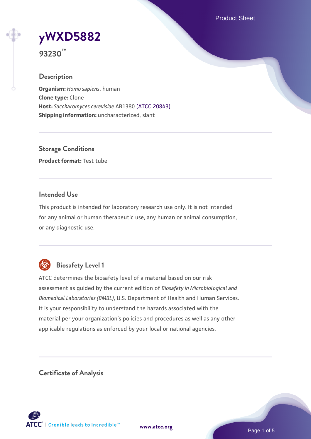Product Sheet

# **[yWXD5882](https://www.atcc.org/products/93230)**

**93230™**

# **Description**

**Organism:** *Homo sapiens*, human **Clone type:** Clone **Host:** *Saccharomyces cerevisiae* AB1380 [\(ATCC 20843\)](https://www.atcc.org/products/20843) **Shipping information:** uncharacterized, slant

**Storage Conditions Product format:** Test tube

# **Intended Use**

This product is intended for laboratory research use only. It is not intended for any animal or human therapeutic use, any human or animal consumption, or any diagnostic use.



# **Biosafety Level 1**

ATCC determines the biosafety level of a material based on our risk assessment as guided by the current edition of *Biosafety in Microbiological and Biomedical Laboratories (BMBL)*, U.S. Department of Health and Human Services. It is your responsibility to understand the hazards associated with the material per your organization's policies and procedures as well as any other applicable regulations as enforced by your local or national agencies.

**Certificate of Analysis**

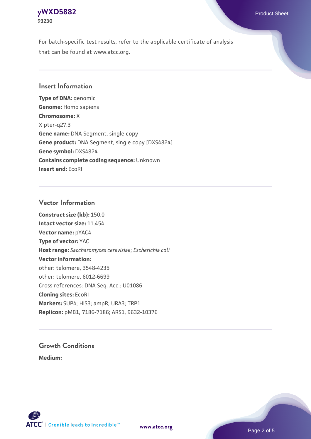#### **[yWXD5882](https://www.atcc.org/products/93230)** Product Sheet **93230**

For batch-specific test results, refer to the applicable certificate of analysis that can be found at www.atcc.org.

# **Insert Information**

**Type of DNA:** genomic **Genome:** Homo sapiens **Chromosome:** X X pter-q27.3 **Gene name:** DNA Segment, single copy **Gene product:** DNA Segment, single copy [DXS4824] **Gene symbol:** DXS4824 **Contains complete coding sequence:** Unknown **Insert end:** EcoRI

# **Vector Information**

**Construct size (kb):** 150.0 **Intact vector size:** 11.454 **Vector name:** pYAC4 **Type of vector:** YAC **Host range:** *Saccharomyces cerevisiae*; *Escherichia coli* **Vector information:** other: telomere, 3548-4235 other: telomere, 6012-6699 Cross references: DNA Seq. Acc.: U01086 **Cloning sites:** EcoRI **Markers:** SUP4; HIS3; ampR; URA3; TRP1 **Replicon:** pMB1, 7186-7186; ARS1, 9632-10376

# **Growth Conditions**

**Medium:** 



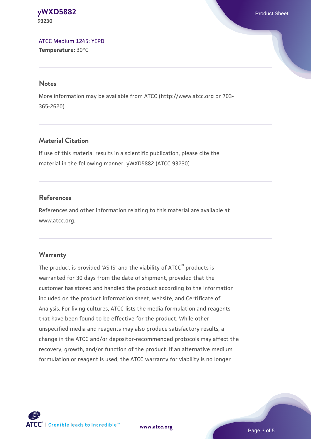#### **[yWXD5882](https://www.atcc.org/products/93230)** Product Sheet **93230**

[ATCC Medium 1245: YEPD](https://www.atcc.org/-/media/product-assets/documents/microbial-media-formulations/1/2/4/5/atcc-medium-1245.pdf?rev=705ca55d1b6f490a808a965d5c072196) **Temperature:** 30°C

#### **Notes**

More information may be available from ATCC (http://www.atcc.org or 703- 365-2620).

# **Material Citation**

If use of this material results in a scientific publication, please cite the material in the following manner: yWXD5882 (ATCC 93230)

# **References**

References and other information relating to this material are available at www.atcc.org.

# **Warranty**

The product is provided 'AS IS' and the viability of ATCC® products is warranted for 30 days from the date of shipment, provided that the customer has stored and handled the product according to the information included on the product information sheet, website, and Certificate of Analysis. For living cultures, ATCC lists the media formulation and reagents that have been found to be effective for the product. While other unspecified media and reagents may also produce satisfactory results, a change in the ATCC and/or depositor-recommended protocols may affect the recovery, growth, and/or function of the product. If an alternative medium formulation or reagent is used, the ATCC warranty for viability is no longer



**[www.atcc.org](http://www.atcc.org)**

Page 3 of 5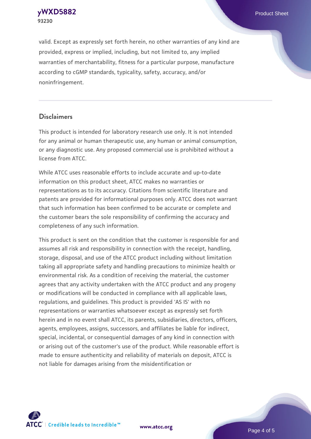**[yWXD5882](https://www.atcc.org/products/93230)** Product Sheet **93230**

valid. Except as expressly set forth herein, no other warranties of any kind are provided, express or implied, including, but not limited to, any implied warranties of merchantability, fitness for a particular purpose, manufacture according to cGMP standards, typicality, safety, accuracy, and/or noninfringement.

#### **Disclaimers**

This product is intended for laboratory research use only. It is not intended for any animal or human therapeutic use, any human or animal consumption, or any diagnostic use. Any proposed commercial use is prohibited without a license from ATCC.

While ATCC uses reasonable efforts to include accurate and up-to-date information on this product sheet, ATCC makes no warranties or representations as to its accuracy. Citations from scientific literature and patents are provided for informational purposes only. ATCC does not warrant that such information has been confirmed to be accurate or complete and the customer bears the sole responsibility of confirming the accuracy and completeness of any such information.

This product is sent on the condition that the customer is responsible for and assumes all risk and responsibility in connection with the receipt, handling, storage, disposal, and use of the ATCC product including without limitation taking all appropriate safety and handling precautions to minimize health or environmental risk. As a condition of receiving the material, the customer agrees that any activity undertaken with the ATCC product and any progeny or modifications will be conducted in compliance with all applicable laws, regulations, and guidelines. This product is provided 'AS IS' with no representations or warranties whatsoever except as expressly set forth herein and in no event shall ATCC, its parents, subsidiaries, directors, officers, agents, employees, assigns, successors, and affiliates be liable for indirect, special, incidental, or consequential damages of any kind in connection with or arising out of the customer's use of the product. While reasonable effort is made to ensure authenticity and reliability of materials on deposit, ATCC is not liable for damages arising from the misidentification or



**[www.atcc.org](http://www.atcc.org)**

Page 4 of 5